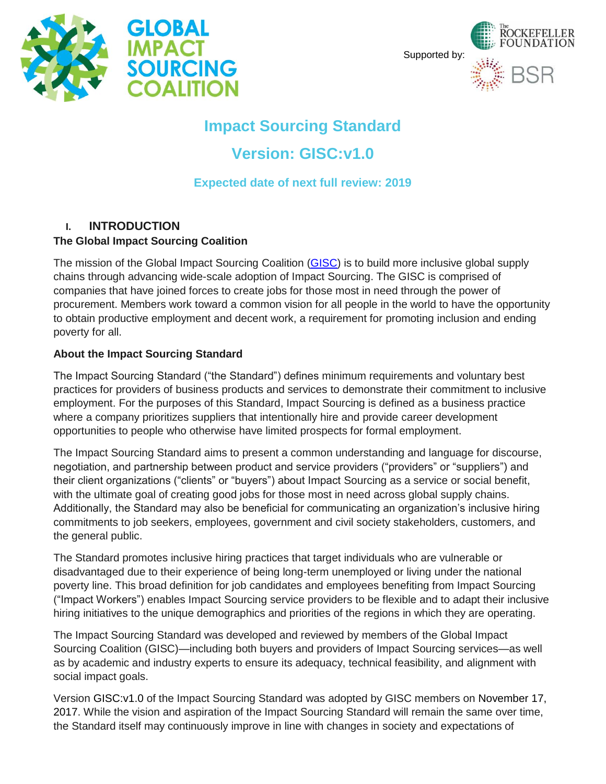



# **Impact Sourcing Standard**

# **Version: GISC:v1.0**

**Expected date of next full review: 2019**

## **I. INTRODUCTION**

#### **The Global Impact Sourcing Coalition**

The mission of the Global Impact Sourcing Coalition (GISC) is to build more inclusive global supply chains through advancing wide-scale adoption of Impact Sourcing. The GISC is comprised of companies that have joined forces to create jobs for those most in need through the power of procurement. Members work toward a common vision for all people in the world to have the opportunity to obtain productive employment and decent work, a requirement for promoting inclusion and ending poverty for all.

#### **About the Impact Sourcing Standard**

The Impact Sourcing Standard ("the Standard") defines minimum requirements and voluntary best practices for providers of business products and services to demonstrate their commitment to inclusive employment. For the purposes of this Standard, Impact Sourcing is defined as a business practice where a company prioritizes suppliers that intentionally hire and provide career development opportunities to people who otherwise have limited prospects for formal employment.

The Impact Sourcing Standard aims to present a common understanding and language for discourse, negotiation, and partnership between product and service providers ("providers" or "suppliers") and their client organizations ("clients" or "buyers") about Impact Sourcing as a service or social benefit, with the ultimate goal of creating good jobs for those most in need across global supply chains. Additionally, the Standard may also be beneficial for communicating an organization's inclusive hiring commitments to job seekers, employees, government and civil society stakeholders, customers, and the general public.

The Standard promotes inclusive hiring practices that target individuals who are vulnerable or disadvantaged due to their experience of being long-term unemployed or living under the national poverty line. This broad definition for job candidates and employees benefiting from Impact Sourcing ("Impact Workers") enables Impact Sourcing service providers to be flexible and to adapt their inclusive hiring initiatives to the unique demographics and priorities of the regions in which they are operating.

The Impact Sourcing Standard was developed and reviewed by members of the Global Impact Sourcing Coalition (GISC)—including both buyers and providers of Impact Sourcing services—as well as by academic and industry experts to ensure its adequacy, technical feasibility, and alignment with social impact goals.

Version GISC:v1.0 of the Impact Sourcing Standard was adopted by GISC members on November 17, 2017. While the vision and aspiration of the Impact Sourcing Standard will remain the same over time, the Standard itself may continuously improve in line with changes in society and expectations of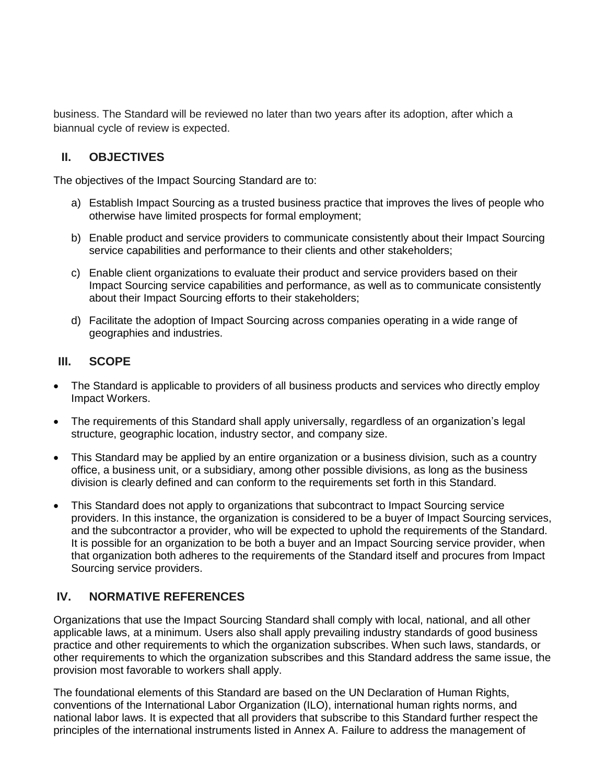business. The Standard will be reviewed no later than two years after its adoption, after which a biannual cycle of review is expected.

#### **II. OBJECTIVES**

The objectives of the Impact Sourcing Standard are to:

- a) Establish Impact Sourcing as a trusted business practice that improves the lives of people who otherwise have limited prospects for formal employment;
- b) Enable product and service providers to communicate consistently about their Impact Sourcing service capabilities and performance to their clients and other stakeholders;
- c) Enable client organizations to evaluate their product and service providers based on their Impact Sourcing service capabilities and performance, as well as to communicate consistently about their Impact Sourcing efforts to their stakeholders;
- d) Facilitate the adoption of Impact Sourcing across companies operating in a wide range of geographies and industries.

#### **III. SCOPE**

- The Standard is applicable to providers of all business products and services who directly employ Impact Workers.
- The requirements of this Standard shall apply universally, regardless of an organization's legal structure, geographic location, industry sector, and company size.
- This Standard may be applied by an entire organization or a business division, such as a country office, a business unit, or a subsidiary, among other possible divisions, as long as the business division is clearly defined and can conform to the requirements set forth in this Standard.
- This Standard does not apply to organizations that subcontract to Impact Sourcing service providers. In this instance, the organization is considered to be a buyer of Impact Sourcing services, and the subcontractor a provider, who will be expected to uphold the requirements of the Standard. It is possible for an organization to be both a buyer and an Impact Sourcing service provider, when that organization both adheres to the requirements of the Standard itself and procures from Impact Sourcing service providers.

#### **IV. NORMATIVE REFERENCES**

Organizations that use the Impact Sourcing Standard shall comply with local, national, and all other applicable laws, at a minimum. Users also shall apply prevailing industry standards of good business practice and other requirements to which the organization subscribes. When such laws, standards, or other requirements to which the organization subscribes and this Standard address the same issue, the provision most favorable to workers shall apply.

The foundational elements of this Standard are based on the UN Declaration of Human Rights, conventions of the International Labor Organization (ILO), international human rights norms, and national labor laws. It is expected that all providers that subscribe to this Standard further respect the principles of the international instruments listed in Annex A. Failure to address the management of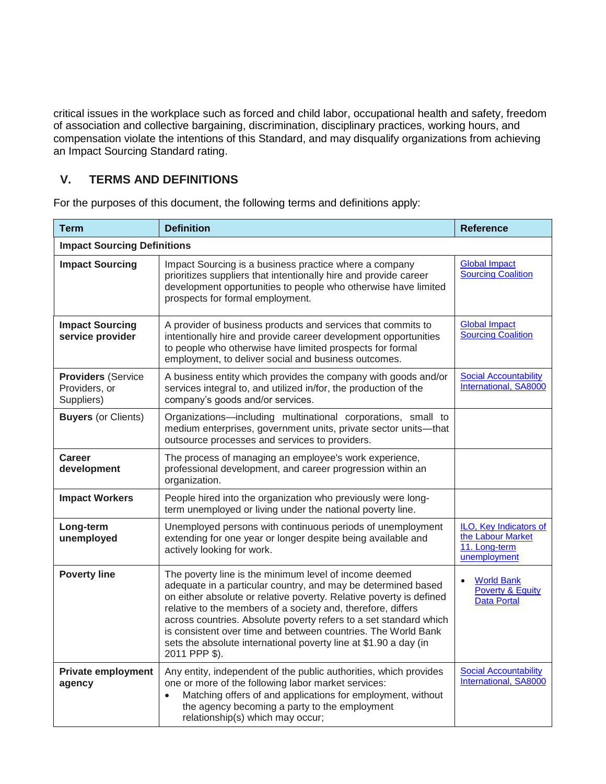critical issues in the workplace such as forced and child labor, occupational health and safety, freedom of association and collective bargaining, discrimination, disciplinary practices, working hours, and compensation violate the intentions of this Standard, and may disqualify organizations from achieving an Impact Sourcing Standard rating.

### **V. TERMS AND DEFINITIONS**

| <b>Term</b>                                              | <b>Definition</b>                                                                                                                                                                                                                                                                                                                                                                                                                                                                         | <b>Reference</b>                                                             |  |
|----------------------------------------------------------|-------------------------------------------------------------------------------------------------------------------------------------------------------------------------------------------------------------------------------------------------------------------------------------------------------------------------------------------------------------------------------------------------------------------------------------------------------------------------------------------|------------------------------------------------------------------------------|--|
| <b>Impact Sourcing Definitions</b>                       |                                                                                                                                                                                                                                                                                                                                                                                                                                                                                           |                                                                              |  |
| <b>Impact Sourcing</b>                                   | Impact Sourcing is a business practice where a company<br>prioritizes suppliers that intentionally hire and provide career<br>development opportunities to people who otherwise have limited<br>prospects for formal employment.                                                                                                                                                                                                                                                          | <b>Global Impact</b><br><b>Sourcing Coalition</b>                            |  |
| <b>Impact Sourcing</b><br>service provider               | A provider of business products and services that commits to<br>intentionally hire and provide career development opportunities<br>to people who otherwise have limited prospects for formal<br>employment, to deliver social and business outcomes.                                                                                                                                                                                                                                      | <b>Global Impact</b><br><b>Sourcing Coalition</b>                            |  |
| <b>Providers (Service</b><br>Providers, or<br>Suppliers) | A business entity which provides the company with goods and/or<br>services integral to, and utilized in/for, the production of the<br>company's goods and/or services.                                                                                                                                                                                                                                                                                                                    | <b>Social Accountability</b><br>International, SA8000                        |  |
| <b>Buyers (or Clients)</b>                               | Organizations-including multinational corporations, small to<br>medium enterprises, government units, private sector units-that<br>outsource processes and services to providers.                                                                                                                                                                                                                                                                                                         |                                                                              |  |
| <b>Career</b><br>development                             | The process of managing an employee's work experience,<br>professional development, and career progression within an<br>organization.                                                                                                                                                                                                                                                                                                                                                     |                                                                              |  |
| <b>Impact Workers</b>                                    | People hired into the organization who previously were long-<br>term unemployed or living under the national poverty line.                                                                                                                                                                                                                                                                                                                                                                |                                                                              |  |
| Long-term<br>unemployed                                  | Unemployed persons with continuous periods of unemployment<br>extending for one year or longer despite being available and<br>actively looking for work.                                                                                                                                                                                                                                                                                                                                  | ILO, Key Indicators of<br>the Labour Market<br>11. Long-term<br>unemployment |  |
| <b>Poverty line</b>                                      | The poverty line is the minimum level of income deemed<br>adequate in a particular country, and may be determined based<br>on either absolute or relative poverty. Relative poverty is defined<br>relative to the members of a society and, therefore, differs<br>across countries. Absolute poverty refers to a set standard which<br>is consistent over time and between countries. The World Bank<br>sets the absolute international poverty line at \$1.90 a day (in<br>2011 PPP \$). | <b>World Bank</b><br><b>Poverty &amp; Equity</b><br><b>Data Portal</b>       |  |
| <b>Private employment</b><br>agency                      | Any entity, independent of the public authorities, which provides<br>one or more of the following labor market services:<br>Matching offers of and applications for employment, without<br>$\bullet$<br>the agency becoming a party to the employment<br>relationship(s) which may occur;                                                                                                                                                                                                 | <b>Social Accountability</b><br>International, SA8000                        |  |

For the purposes of this document, the following terms and definitions apply: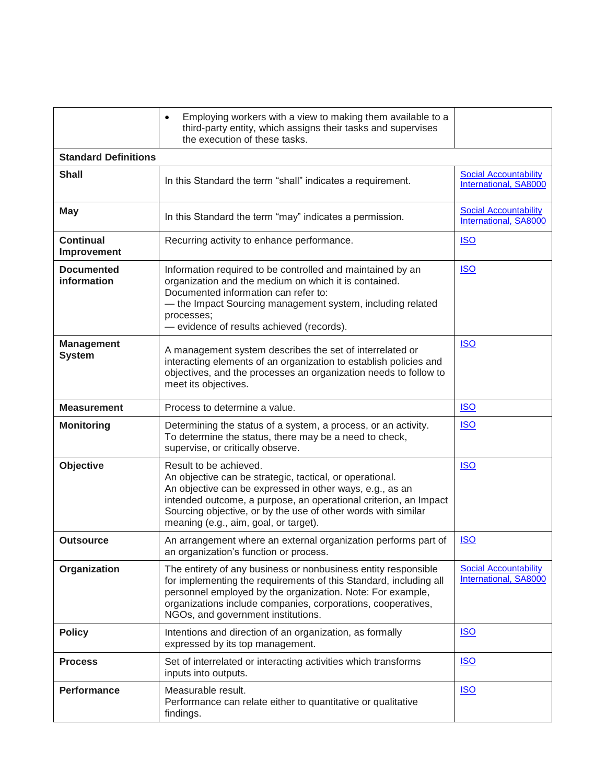|                                    | Employing workers with a view to making them available to a<br>$\bullet$<br>third-party entity, which assigns their tasks and supervises<br>the execution of these tasks.                                                                                                                                                    |                                                              |
|------------------------------------|------------------------------------------------------------------------------------------------------------------------------------------------------------------------------------------------------------------------------------------------------------------------------------------------------------------------------|--------------------------------------------------------------|
| <b>Standard Definitions</b>        |                                                                                                                                                                                                                                                                                                                              |                                                              |
| <b>Shall</b>                       | In this Standard the term "shall" indicates a requirement.                                                                                                                                                                                                                                                                   | <b>Social Accountability</b><br><b>International, SA8000</b> |
| <b>May</b>                         | In this Standard the term "may" indicates a permission.                                                                                                                                                                                                                                                                      | <b>Social Accountability</b><br>International, SA8000        |
| <b>Continual</b><br>Improvement    | Recurring activity to enhance performance.                                                                                                                                                                                                                                                                                   | <b>ISO</b>                                                   |
| <b>Documented</b><br>information   | Information required to be controlled and maintained by an<br>organization and the medium on which it is contained.<br>Documented information can refer to:<br>- the Impact Sourcing management system, including related<br>processes;<br>- evidence of results achieved (records).                                         | <b>ISO</b>                                                   |
| <b>Management</b><br><b>System</b> | A management system describes the set of interrelated or<br>interacting elements of an organization to establish policies and<br>objectives, and the processes an organization needs to follow to<br>meet its objectives.                                                                                                    | <b>ISO</b>                                                   |
| <b>Measurement</b>                 | Process to determine a value.                                                                                                                                                                                                                                                                                                | <b>ISO</b>                                                   |
| <b>Monitoring</b>                  | Determining the status of a system, a process, or an activity.<br>To determine the status, there may be a need to check,<br>supervise, or critically observe.                                                                                                                                                                | <b>ISO</b>                                                   |
| Objective                          | Result to be achieved.<br>An objective can be strategic, tactical, or operational.<br>An objective can be expressed in other ways, e.g., as an<br>intended outcome, a purpose, an operational criterion, an Impact<br>Sourcing objective, or by the use of other words with similar<br>meaning (e.g., aim, goal, or target). | <u>ISO</u>                                                   |
| <b>Outsource</b>                   | An arrangement where an external organization performs part of<br>an organization's function or process.                                                                                                                                                                                                                     | <b>ISO</b>                                                   |
| Organization                       | The entirety of any business or nonbusiness entity responsible<br>for implementing the requirements of this Standard, including all<br>personnel employed by the organization. Note: For example,<br>organizations include companies, corporations, cooperatives,<br>NGOs, and government institutions.                      | <b>Social Accountability</b><br>International, SA8000        |
| <b>Policy</b>                      | Intentions and direction of an organization, as formally<br>expressed by its top management.                                                                                                                                                                                                                                 | <b>ISO</b>                                                   |
| <b>Process</b>                     | Set of interrelated or interacting activities which transforms<br>inputs into outputs.                                                                                                                                                                                                                                       | <b>ISO</b>                                                   |
| <b>Performance</b>                 | Measurable result.<br>Performance can relate either to quantitative or qualitative<br>findings.                                                                                                                                                                                                                              | <b>ISO</b>                                                   |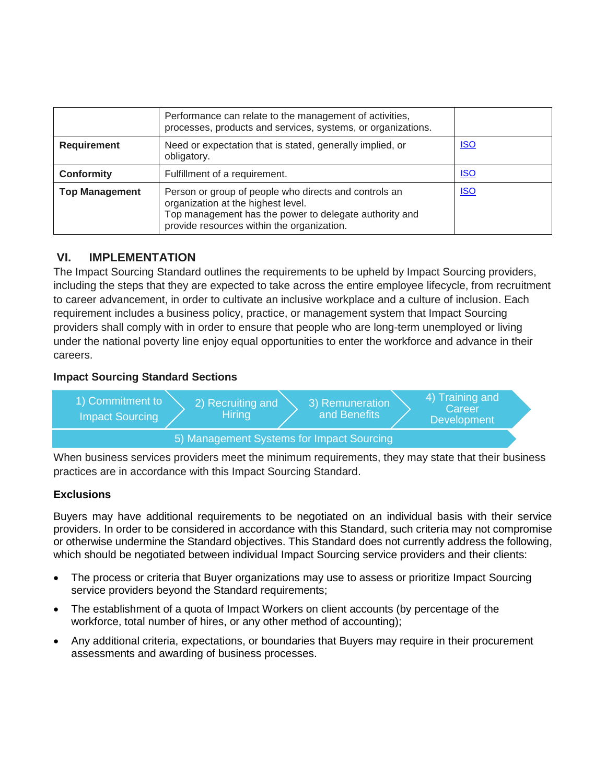|                       | Performance can relate to the management of activities,<br>processes, products and services, systems, or organizations.                                                                             |            |
|-----------------------|-----------------------------------------------------------------------------------------------------------------------------------------------------------------------------------------------------|------------|
| <b>Requirement</b>    | Need or expectation that is stated, generally implied, or<br>obligatory.                                                                                                                            | <u>ISO</u> |
| <b>Conformity</b>     | Fulfillment of a requirement.                                                                                                                                                                       | <b>ISO</b> |
| <b>Top Management</b> | Person or group of people who directs and controls an<br>organization at the highest level.<br>Top management has the power to delegate authority and<br>provide resources within the organization. | <u>ISO</u> |

### **VI. IMPLEMENTATION**

The Impact Sourcing Standard outlines the requirements to be upheld by Impact Sourcing providers, including the steps that they are expected to take across the entire employee lifecycle, from recruitment to career advancement, in order to cultivate an inclusive workplace and a culture of inclusion. Each requirement includes a business policy, practice, or management system that Impact Sourcing providers shall comply with in order to ensure that people who are long-term unemployed or living under the national poverty line enjoy equal opportunities to enter the workforce and advance in their careers.

#### **Impact Sourcing Standard Sections**



When business services providers meet the minimum requirements, they may state that their business practices are in accordance with this Impact Sourcing Standard.

#### **Exclusions**

Buyers may have additional requirements to be negotiated on an individual basis with their service providers. In order to be considered in accordance with this Standard, such criteria may not compromise or otherwise undermine the Standard objectives. This Standard does not currently address the following, which should be negotiated between individual Impact Sourcing service providers and their clients:

- The process or criteria that Buyer organizations may use to assess or prioritize Impact Sourcing service providers beyond the Standard requirements;
- The establishment of a quota of Impact Workers on client accounts (by percentage of the workforce, total number of hires, or any other method of accounting);
- Any additional criteria, expectations, or boundaries that Buyers may require in their procurement assessments and awarding of business processes.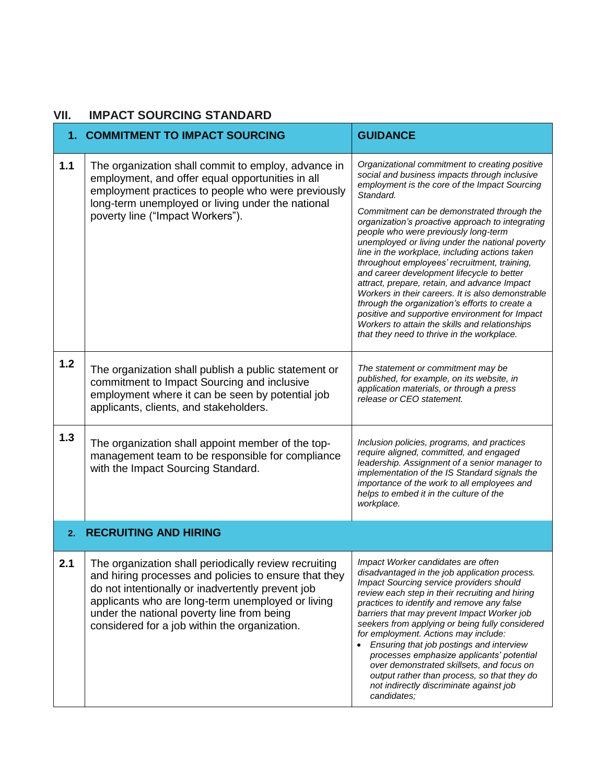#### **VII. IMPACT SOURCING STANDARD**

|       | 1. COMMITMENT TO IMPACT SOURCING                                                                                                                                                                                                                                                                                        | <b>GUIDANCE</b>                                                                                                                                                                                                                                                                                                                                                                                                                                                                                                                                                                                                                                                                                                                                                                                                     |
|-------|-------------------------------------------------------------------------------------------------------------------------------------------------------------------------------------------------------------------------------------------------------------------------------------------------------------------------|---------------------------------------------------------------------------------------------------------------------------------------------------------------------------------------------------------------------------------------------------------------------------------------------------------------------------------------------------------------------------------------------------------------------------------------------------------------------------------------------------------------------------------------------------------------------------------------------------------------------------------------------------------------------------------------------------------------------------------------------------------------------------------------------------------------------|
| $1.1$ | The organization shall commit to employ, advance in<br>employment, and offer equal opportunities in all<br>employment practices to people who were previously<br>long-term unemployed or living under the national<br>poverty line ("Impact Workers").                                                                  | Organizational commitment to creating positive<br>social and business impacts through inclusive<br>employment is the core of the Impact Sourcing<br>Standard.<br>Commitment can be demonstrated through the<br>organization's proactive approach to integrating<br>people who were previously long-term<br>unemployed or living under the national poverty<br>line in the workplace, including actions taken<br>throughout employees' recruitment, training,<br>and career development lifecycle to better<br>attract, prepare, retain, and advance Impact<br>Workers in their careers. It is also demonstrable<br>through the organization's efforts to create a<br>positive and supportive environment for Impact<br>Workers to attain the skills and relationships<br>that they need to thrive in the workplace. |
| 1.2   | The organization shall publish a public statement or<br>commitment to Impact Sourcing and inclusive<br>employment where it can be seen by potential job<br>applicants, clients, and stakeholders.                                                                                                                       | The statement or commitment may be<br>published, for example, on its website, in<br>application materials, or through a press<br>release or CEO statement.                                                                                                                                                                                                                                                                                                                                                                                                                                                                                                                                                                                                                                                          |
| 1.3   | The organization shall appoint member of the top-<br>management team to be responsible for compliance<br>with the Impact Sourcing Standard.                                                                                                                                                                             | Inclusion policies, programs, and practices<br>require aligned, committed, and engaged<br>leadership. Assignment of a senior manager to<br>implementation of the IS Standard signals the<br>importance of the work to all employees and<br>helps to embed it in the culture of the<br>workplace.                                                                                                                                                                                                                                                                                                                                                                                                                                                                                                                    |
| 2.    | <b>RECRUITING AND HIRING</b>                                                                                                                                                                                                                                                                                            |                                                                                                                                                                                                                                                                                                                                                                                                                                                                                                                                                                                                                                                                                                                                                                                                                     |
| 2.1   | The organization shall periodically review recruiting<br>and hiring processes and policies to ensure that they<br>do not intentionally or inadvertently prevent job<br>applicants who are long-term unemployed or living<br>under the national poverty line from being<br>considered for a job within the organization. | Impact Worker candidates are often<br>disadvantaged in the job application process.<br>Impact Sourcing service providers should<br>review each step in their recruiting and hiring<br>practices to identify and remove any false<br>barriers that may prevent Impact Worker job<br>seekers from applying or being fully considered<br>for employment. Actions may include:<br>Ensuring that job postings and interview<br>processes emphasize applicants' potential<br>over demonstrated skillsets, and focus on<br>output rather than process, so that they do<br>not indirectly discriminate against job<br>candidates;                                                                                                                                                                                           |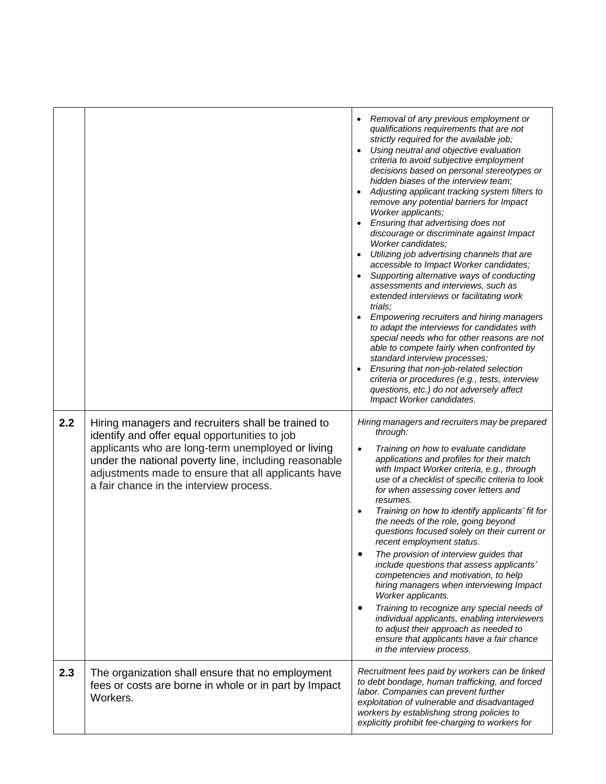|     |                                                                                                                                                                                                                                                                                                                     | Removal of any previous employment or<br>qualifications requirements that are not<br>strictly required for the available job;<br>Using neutral and objective evaluation<br>criteria to avoid subjective employment<br>decisions based on personal stereotypes or<br>hidden biases of the interview team;<br>Adjusting applicant tracking system filters to<br>remove any potential barriers for Impact<br>Worker applicants;<br>Ensuring that advertising does not<br>discourage or discriminate against Impact<br>Worker candidates;<br>Utilizing job advertising channels that are<br>accessible to Impact Worker candidates;<br>Supporting alternative ways of conducting<br>assessments and interviews, such as<br>extended interviews or facilitating work<br>trials;<br>Empowering recruiters and hiring managers<br>to adapt the interviews for candidates with<br>special needs who for other reasons are not<br>able to compete fairly when confronted by<br>standard interview processes;<br>Ensuring that non-job-related selection<br>criteria or procedures (e.g., tests, interview<br>questions, etc.) do not adversely affect<br>Impact Worker candidates. |
|-----|---------------------------------------------------------------------------------------------------------------------------------------------------------------------------------------------------------------------------------------------------------------------------------------------------------------------|---------------------------------------------------------------------------------------------------------------------------------------------------------------------------------------------------------------------------------------------------------------------------------------------------------------------------------------------------------------------------------------------------------------------------------------------------------------------------------------------------------------------------------------------------------------------------------------------------------------------------------------------------------------------------------------------------------------------------------------------------------------------------------------------------------------------------------------------------------------------------------------------------------------------------------------------------------------------------------------------------------------------------------------------------------------------------------------------------------------------------------------------------------------------------|
| 2.2 | Hiring managers and recruiters shall be trained to<br>identify and offer equal opportunities to job<br>applicants who are long-term unemployed or living<br>under the national poverty line, including reasonable<br>adjustments made to ensure that all applicants have<br>a fair chance in the interview process. | Hiring managers and recruiters may be prepared<br>through:<br>Training on how to evaluate candidate<br>$\bullet$<br>applications and profiles for their match<br>with Impact Worker criteria, e.g., through<br>use of a checklist of specific criteria to look<br>for when assessing cover letters and<br>resumes.<br>Training on how to identify applicants' fit for<br>$\bullet$<br>the needs of the role, going beyond<br>questions focused solely on their current or<br>recent employment status.<br>The provision of interview guides that<br>include questions that assess applicants'<br>competencies and motivation, to help<br>hiring managers when interviewing Impact<br>Worker applicants.<br>Training to recognize any special needs of<br>$\bullet$<br>individual applicants, enabling interviewers<br>to adjust their approach as needed to<br>ensure that applicants have a fair chance<br>in the interview process.                                                                                                                                                                                                                                     |
| 2.3 | The organization shall ensure that no employment<br>fees or costs are borne in whole or in part by Impact<br>Workers.                                                                                                                                                                                               | Recruitment fees paid by workers can be linked<br>to debt bondage, human trafficking, and forced<br>labor. Companies can prevent further<br>exploitation of vulnerable and disadvantaged<br>workers by establishing strong policies to<br>explicitly prohibit fee-charging to workers for                                                                                                                                                                                                                                                                                                                                                                                                                                                                                                                                                                                                                                                                                                                                                                                                                                                                                 |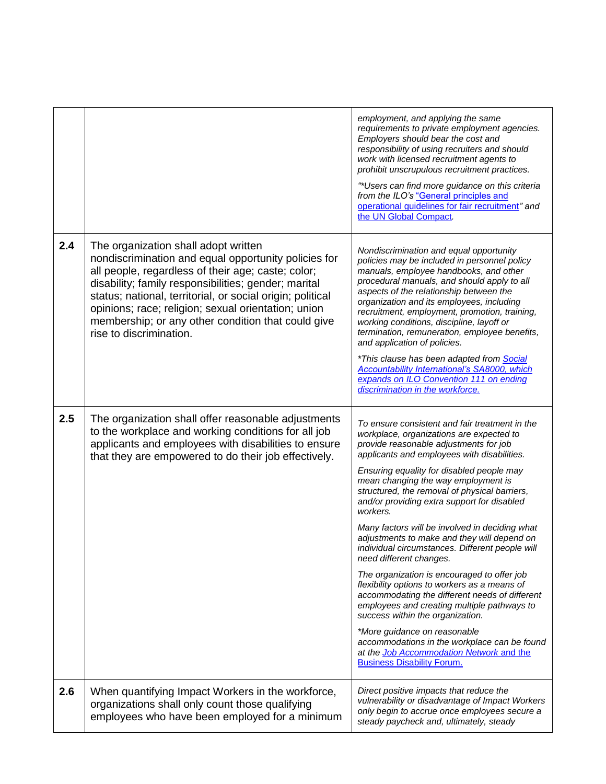|     |                                                                                                                                                                                                                                                                                                                                                                                                                  | employment, and applying the same<br>requirements to private employment agencies.<br>Employers should bear the cost and<br>responsibility of using recruiters and should<br>work with licensed recruitment agents to<br>prohibit unscrupulous recruitment practices.<br>"*Users can find more guidance on this criteria<br>from the ILO's "General principles and<br>operational guidelines for fair recruitment" and<br>the UN Global Compact.                                                                                                                                                                                                                                                                                                                                                                                                                                                                                                                         |
|-----|------------------------------------------------------------------------------------------------------------------------------------------------------------------------------------------------------------------------------------------------------------------------------------------------------------------------------------------------------------------------------------------------------------------|-------------------------------------------------------------------------------------------------------------------------------------------------------------------------------------------------------------------------------------------------------------------------------------------------------------------------------------------------------------------------------------------------------------------------------------------------------------------------------------------------------------------------------------------------------------------------------------------------------------------------------------------------------------------------------------------------------------------------------------------------------------------------------------------------------------------------------------------------------------------------------------------------------------------------------------------------------------------------|
| 2.4 | The organization shall adopt written<br>nondiscrimination and equal opportunity policies for<br>all people, regardless of their age; caste; color;<br>disability; family responsibilities; gender; marital<br>status; national, territorial, or social origin; political<br>opinions; race; religion; sexual orientation; union<br>membership; or any other condition that could give<br>rise to discrimination. | Nondiscrimination and equal opportunity<br>policies may be included in personnel policy<br>manuals, employee handbooks, and other<br>procedural manuals, and should apply to all<br>aspects of the relationship between the<br>organization and its employees, including<br>recruitment, employment, promotion, training,<br>working conditions, discipline, layoff or<br>termination, remuneration, employee benefits,<br>and application of policies.<br>*This clause has been adapted from Social<br><b>Accountability International's SA8000, which</b><br>expands on ILO Convention 111 on ending<br>discrimination in the workforce.                                                                                                                                                                                                                                                                                                                              |
| 2.5 | The organization shall offer reasonable adjustments<br>to the workplace and working conditions for all job<br>applicants and employees with disabilities to ensure<br>that they are empowered to do their job effectively.                                                                                                                                                                                       | To ensure consistent and fair treatment in the<br>workplace, organizations are expected to<br>provide reasonable adjustments for job<br>applicants and employees with disabilities.<br>Ensuring equality for disabled people may<br>mean changing the way employment is<br>structured, the removal of physical barriers,<br>and/or providing extra support for disabled<br>workers.<br>Many factors will be involved in deciding what<br>adjustments to make and they will depend on<br>individual circumstances. Different people will<br>need different changes.<br>The organization is encouraged to offer job<br>flexibility options to workers as a means of<br>accommodating the different needs of different<br>employees and creating multiple pathways to<br>success within the organization.<br>*More guidance on reasonable<br>accommodations in the workplace can be found<br>at the Job Accommodation Network and the<br><b>Business Disability Forum.</b> |
| 2.6 | When quantifying Impact Workers in the workforce,<br>organizations shall only count those qualifying<br>employees who have been employed for a minimum                                                                                                                                                                                                                                                           | Direct positive impacts that reduce the<br>vulnerability or disadvantage of Impact Workers<br>only begin to accrue once employees secure a<br>steady paycheck and, ultimately, steady                                                                                                                                                                                                                                                                                                                                                                                                                                                                                                                                                                                                                                                                                                                                                                                   |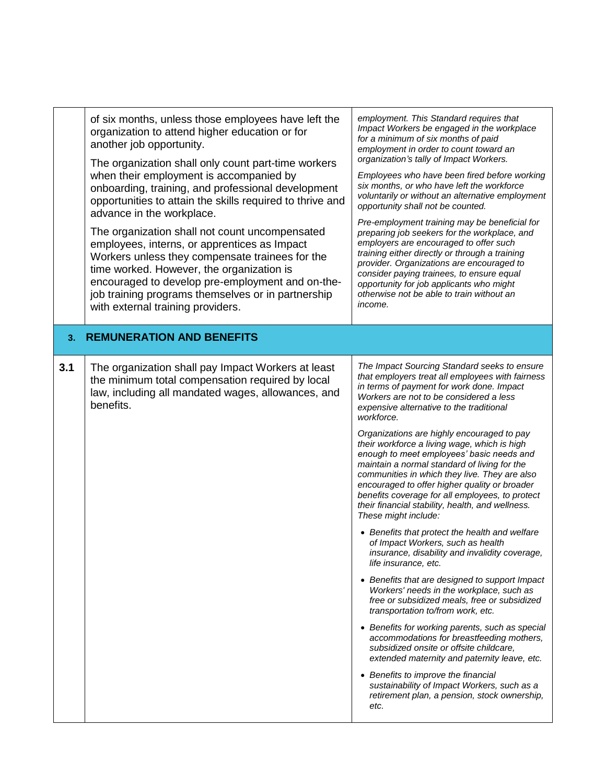|     | of six months, unless those employees have left the<br>organization to attend higher education or for<br>another job opportunity.<br>The organization shall only count part-time workers<br>when their employment is accompanied by<br>onboarding, training, and professional development<br>opportunities to attain the skills required to thrive and<br>advance in the workplace.<br>The organization shall not count uncompensated<br>employees, interns, or apprentices as Impact<br>Workers unless they compensate trainees for the<br>time worked. However, the organization is<br>encouraged to develop pre-employment and on-the-<br>job training programs themselves or in partnership<br>with external training providers. | employment. This Standard requires that<br>Impact Workers be engaged in the workplace<br>for a minimum of six months of paid<br>employment in order to count toward an<br>organization's tally of Impact Workers.<br>Employees who have been fired before working<br>six months, or who have left the workforce<br>voluntarily or without an alternative employment<br>opportunity shall not be counted.<br>Pre-employment training may be beneficial for<br>preparing job seekers for the workplace, and<br>employers are encouraged to offer such<br>training either directly or through a training<br>provider. Organizations are encouraged to<br>consider paying trainees, to ensure equal<br>opportunity for job applicants who might<br>otherwise not be able to train without an<br>income.                                                                                                                                                                                                                                                                                                                                                                                                                                                                                                                                                                         |
|-----|--------------------------------------------------------------------------------------------------------------------------------------------------------------------------------------------------------------------------------------------------------------------------------------------------------------------------------------------------------------------------------------------------------------------------------------------------------------------------------------------------------------------------------------------------------------------------------------------------------------------------------------------------------------------------------------------------------------------------------------|-----------------------------------------------------------------------------------------------------------------------------------------------------------------------------------------------------------------------------------------------------------------------------------------------------------------------------------------------------------------------------------------------------------------------------------------------------------------------------------------------------------------------------------------------------------------------------------------------------------------------------------------------------------------------------------------------------------------------------------------------------------------------------------------------------------------------------------------------------------------------------------------------------------------------------------------------------------------------------------------------------------------------------------------------------------------------------------------------------------------------------------------------------------------------------------------------------------------------------------------------------------------------------------------------------------------------------------------------------------------------------|
| 3.  | <b>REMUNERATION AND BENEFITS</b>                                                                                                                                                                                                                                                                                                                                                                                                                                                                                                                                                                                                                                                                                                     |                                                                                                                                                                                                                                                                                                                                                                                                                                                                                                                                                                                                                                                                                                                                                                                                                                                                                                                                                                                                                                                                                                                                                                                                                                                                                                                                                                             |
| 3.1 | The organization shall pay Impact Workers at least<br>the minimum total compensation required by local<br>law, including all mandated wages, allowances, and<br>benefits.                                                                                                                                                                                                                                                                                                                                                                                                                                                                                                                                                            | The Impact Sourcing Standard seeks to ensure<br>that employers treat all employees with fairness<br>in terms of payment for work done. Impact<br>Workers are not to be considered a less<br>expensive alternative to the traditional<br>workforce.<br>Organizations are highly encouraged to pay<br>their workforce a living wage, which is high<br>enough to meet employees' basic needs and<br>maintain a normal standard of living for the<br>communities in which they live. They are also<br>encouraged to offer higher quality or broader<br>benefits coverage for all employees, to protect<br>their financial stability, health, and wellness.<br>These might include:<br>• Benefits that protect the health and welfare<br>of Impact Workers, such as health<br>insurance, disability and invalidity coverage,<br>life insurance, etc.<br>• Benefits that are designed to support Impact<br>Workers' needs in the workplace, such as<br>free or subsidized meals, free or subsidized<br>transportation to/from work, etc.<br>• Benefits for working parents, such as special<br>accommodations for breastfeeding mothers,<br>subsidized onsite or offsite childcare,<br>extended maternity and paternity leave, etc.<br>• Benefits to improve the financial<br>sustainability of Impact Workers, such as a<br>retirement plan, a pension, stock ownership,<br>etc. |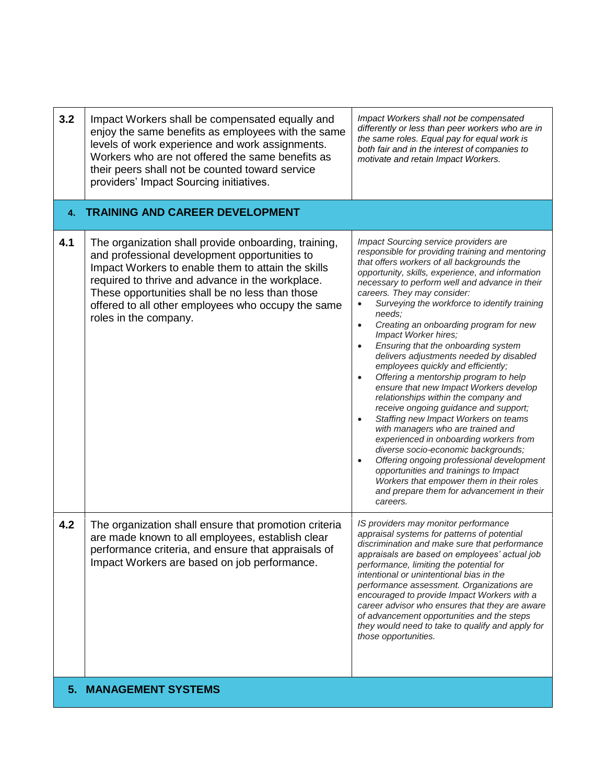| 3.2 | Impact Workers shall be compensated equally and<br>enjoy the same benefits as employees with the same<br>levels of work experience and work assignments.<br>Workers who are not offered the same benefits as<br>their peers shall not be counted toward service<br>providers' Impact Sourcing initiatives.                                        | Impact Workers shall not be compensated<br>differently or less than peer workers who are in<br>the same roles. Equal pay for equal work is<br>both fair and in the interest of companies to<br>motivate and retain Impact Workers.                                                                                                                                                                                                                                                                                                                                                                                                                                                                                                                                                                                                                                                                                                                                                                                                                                                                   |
|-----|---------------------------------------------------------------------------------------------------------------------------------------------------------------------------------------------------------------------------------------------------------------------------------------------------------------------------------------------------|------------------------------------------------------------------------------------------------------------------------------------------------------------------------------------------------------------------------------------------------------------------------------------------------------------------------------------------------------------------------------------------------------------------------------------------------------------------------------------------------------------------------------------------------------------------------------------------------------------------------------------------------------------------------------------------------------------------------------------------------------------------------------------------------------------------------------------------------------------------------------------------------------------------------------------------------------------------------------------------------------------------------------------------------------------------------------------------------------|
| 4.  | <b>TRAINING AND CAREER DEVELOPMENT</b>                                                                                                                                                                                                                                                                                                            |                                                                                                                                                                                                                                                                                                                                                                                                                                                                                                                                                                                                                                                                                                                                                                                                                                                                                                                                                                                                                                                                                                      |
| 4.1 | The organization shall provide onboarding, training,<br>and professional development opportunities to<br>Impact Workers to enable them to attain the skills<br>required to thrive and advance in the workplace.<br>These opportunities shall be no less than those<br>offered to all other employees who occupy the same<br>roles in the company. | Impact Sourcing service providers are<br>responsible for providing training and mentoring<br>that offers workers of all backgrounds the<br>opportunity, skills, experience, and information<br>necessary to perform well and advance in their<br>careers. They may consider:<br>Surveying the workforce to identify training<br>needs:<br>Creating an onboarding program for new<br>$\bullet$<br>Impact Worker hires;<br>Ensuring that the onboarding system<br>delivers adjustments needed by disabled<br>employees quickly and efficiently;<br>Offering a mentorship program to help<br>$\bullet$<br>ensure that new Impact Workers develop<br>relationships within the company and<br>receive ongoing guidance and support;<br>Staffing new Impact Workers on teams<br>$\bullet$<br>with managers who are trained and<br>experienced in onboarding workers from<br>diverse socio-economic backgrounds;<br>Offering ongoing professional development<br>opportunities and trainings to Impact<br>Workers that empower them in their roles<br>and prepare them for advancement in their<br>careers. |
| 4.2 | The organization shall ensure that promotion criteria<br>are made known to all employees, establish clear<br>performance criteria, and ensure that appraisals of<br>Impact Workers are based on job performance.                                                                                                                                  | IS providers may monitor performance<br>appraisal systems for patterns of potential<br>discrimination and make sure that performance<br>appraisals are based on employees' actual job<br>performance, limiting the potential for<br>intentional or unintentional bias in the<br>performance assessment. Organizations are<br>encouraged to provide Impact Workers with a<br>career advisor who ensures that they are aware<br>of advancement opportunities and the steps<br>they would need to take to qualify and apply for<br>those opportunities.                                                                                                                                                                                                                                                                                                                                                                                                                                                                                                                                                 |
| 5.  | <b>MANAGEMENT SYSTEMS</b>                                                                                                                                                                                                                                                                                                                         |                                                                                                                                                                                                                                                                                                                                                                                                                                                                                                                                                                                                                                                                                                                                                                                                                                                                                                                                                                                                                                                                                                      |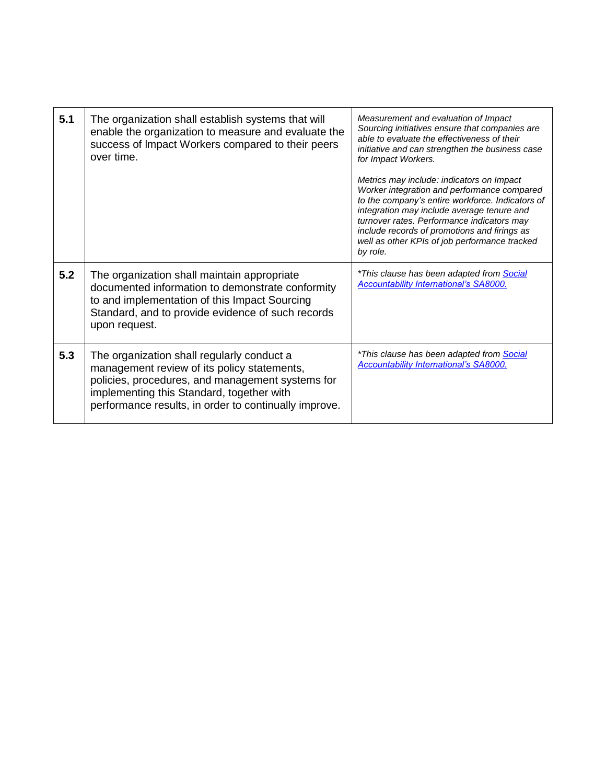| 5.1 | The organization shall establish systems that will<br>enable the organization to measure and evaluate the<br>success of Impact Workers compared to their peers<br>over time.                                                                        | Measurement and evaluation of Impact<br>Sourcing initiatives ensure that companies are<br>able to evaluate the effectiveness of their<br>initiative and can strengthen the business case<br>for Impact Workers.<br>Metrics may include: indicators on Impact<br>Worker integration and performance compared<br>to the company's entire workforce. Indicators of<br>integration may include average tenure and<br>turnover rates. Performance indicators may<br>include records of promotions and firings as<br>well as other KPIs of job performance tracked<br>by role. |
|-----|-----------------------------------------------------------------------------------------------------------------------------------------------------------------------------------------------------------------------------------------------------|--------------------------------------------------------------------------------------------------------------------------------------------------------------------------------------------------------------------------------------------------------------------------------------------------------------------------------------------------------------------------------------------------------------------------------------------------------------------------------------------------------------------------------------------------------------------------|
| 5.2 | The organization shall maintain appropriate<br>documented information to demonstrate conformity<br>to and implementation of this Impact Sourcing<br>Standard, and to provide evidence of such records<br>upon request.                              | *This clause has been adapted from Social<br>Accountability International's SA8000.                                                                                                                                                                                                                                                                                                                                                                                                                                                                                      |
| 5.3 | The organization shall regularly conduct a<br>management review of its policy statements,<br>policies, procedures, and management systems for<br>implementing this Standard, together with<br>performance results, in order to continually improve. | *This clause has been adapted from <b>Social</b><br><b>Accountability International's SA8000.</b>                                                                                                                                                                                                                                                                                                                                                                                                                                                                        |